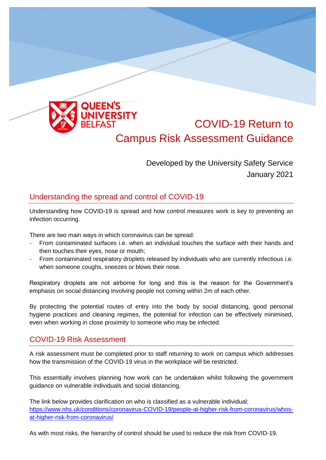

# COVID-19 Return to Campus Risk Assessment Guidance

Developed by the University Safety Service January 2021

## Understanding the spread and control of COVID-19

Understanding how COVID-19 is spread and how control measures work is key to preventing an infection occurring.

There are two main ways in which coronavirus can be spread:

- From contaminated surfaces i.e. when an individual touches the surface with their hands and then touches their eyes, nose or mouth;
- From contaminated respiratory droplets released by individuals who are currently infectious i.e. when someone coughs, sneezes or blows their nose.

Respiratory droplets are not airborne for long and this is the reason for the Government's emphasis on social distancing involving people not coming within 2m of each other.

By protecting the potential routes of entry into the body by social distancing, good personal hygiene practices and cleaning regimes, the potential for infection can be effectively minimised, even when working in close proximity to someone who may be infected.

### COVID-19 Risk Assessment

A risk assessment must be completed prior to staff returning to work on campus which addresses how the transmission of the COVID-19 virus in the workplace will be restricted.

This essentially involves planning how work can be undertaken whilst following the government guidance on vulnerable individuals and social distancing.

The link below provides clarification on who is classified as a vulnerable individual: [https://www.nhs.uk/conditions/coronavirus-COVID-19/people-at-higher-risk-from-coronavirus/whos](https://www.nhs.uk/conditions/coronavirus-covid-19/people-at-higher-risk-from-coronavirus/whos-at-higher-risk-from-coronavirus/)[at-higher-risk-from-coronavirus/](https://www.nhs.uk/conditions/coronavirus-covid-19/people-at-higher-risk-from-coronavirus/whos-at-higher-risk-from-coronavirus/)

As with most risks, the hierarchy of control should be used to reduce the risk from COVID-19.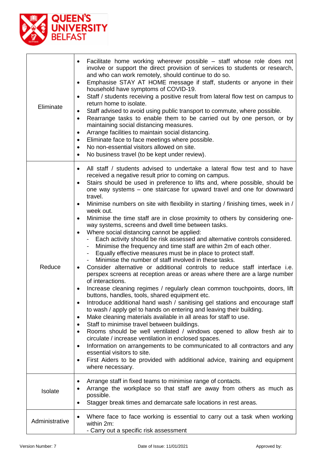

| Eliminate      | Facilitate home working wherever possible – staff whose role does not<br>involve or support the direct provision of services to students or research,<br>and who can work remotely, should continue to do so.<br>Emphasise STAY AT HOME message if staff, students or anyone in their<br>٠<br>household have symptoms of COVID-19.<br>Staff / students receiving a positive result from lateral flow test on campus to<br>$\bullet$<br>return home to isolate.<br>Staff advised to avoid using public transport to commute, where possible.<br>٠<br>Rearrange tasks to enable them to be carried out by one person, or by<br>$\bullet$<br>maintaining social distancing measures.<br>Arrange facilities to maintain social distancing.<br>$\bullet$<br>Eliminate face to face meetings where possible.<br>$\bullet$<br>No non-essential visitors allowed on site.<br>$\bullet$<br>No business travel (to be kept under review).<br>$\bullet$                                                                                                                                                                                                                                                                                                                                                                                                                                                                                                                                                                                                                                                                                                                                                                                                                                                                                                                                                                                                           |
|----------------|--------------------------------------------------------------------------------------------------------------------------------------------------------------------------------------------------------------------------------------------------------------------------------------------------------------------------------------------------------------------------------------------------------------------------------------------------------------------------------------------------------------------------------------------------------------------------------------------------------------------------------------------------------------------------------------------------------------------------------------------------------------------------------------------------------------------------------------------------------------------------------------------------------------------------------------------------------------------------------------------------------------------------------------------------------------------------------------------------------------------------------------------------------------------------------------------------------------------------------------------------------------------------------------------------------------------------------------------------------------------------------------------------------------------------------------------------------------------------------------------------------------------------------------------------------------------------------------------------------------------------------------------------------------------------------------------------------------------------------------------------------------------------------------------------------------------------------------------------------------------------------------------------------------------------------------------------------|
| Reduce         | All staff / students advised to undertake a lateral flow test and to have<br>$\bullet$<br>received a negative result prior to coming on campus.<br>Stairs should be used in preference to lifts and, where possible, should be<br>$\bullet$<br>one way systems – one staircase for upward travel and one for downward<br>travel.<br>Minimise numbers on site with flexibility in starting / finishing times, week in /<br>٠<br>week out.<br>Minimise the time staff are in close proximity to others by considering one-<br>$\bullet$<br>way systems, screens and dwell time between tasks.<br>Where social distancing cannot be applied:<br>$\bullet$<br>Each activity should be risk assessed and alternative controls considered.<br>Minimise the frequency and time staff are within 2m of each other.<br>Equally effective measures must be in place to protect staff.<br>Minimise the number of staff involved in these tasks.<br>Consider alternative or additional controls to reduce staff interface i.e.<br>$\bullet$<br>perspex screens at reception areas or areas where there are a large number<br>of interactions.<br>Increase cleaning regimes / regularly clean common touchpoints, doors, lift<br>buttons, handles, tools, shared equipment etc.<br>Introduce additional hand wash / sanitising gel stations and encourage staff<br>$\bullet$<br>to wash / apply gel to hands on entering and leaving their building.<br>Make cleaning materials available in all areas for staff to use.<br>$\bullet$<br>Staff to minimise travel between buildings.<br>Rooms should be well ventilated / windows opened to allow fresh air to<br>٠<br>circulate / increase ventilation in enclosed spaces.<br>Information on arrangements to be communicated to all contractors and any<br>$\bullet$<br>essential visitors to site.<br>First Aiders to be provided with additional advice, training and equipment<br>$\bullet$<br>where necessary. |
| Isolate        | Arrange staff in fixed teams to minimise range of contacts.<br>٠<br>Arrange the workplace so that staff are away from others as much as<br>possible.<br>Stagger break times and demarcate safe locations in rest areas.<br>٠                                                                                                                                                                                                                                                                                                                                                                                                                                                                                                                                                                                                                                                                                                                                                                                                                                                                                                                                                                                                                                                                                                                                                                                                                                                                                                                                                                                                                                                                                                                                                                                                                                                                                                                           |
| Administrative | Where face to face working is essential to carry out a task when working<br>$\bullet$<br>within 2m:<br>- Carry out a specific risk assessment                                                                                                                                                                                                                                                                                                                                                                                                                                                                                                                                                                                                                                                                                                                                                                                                                                                                                                                                                                                                                                                                                                                                                                                                                                                                                                                                                                                                                                                                                                                                                                                                                                                                                                                                                                                                          |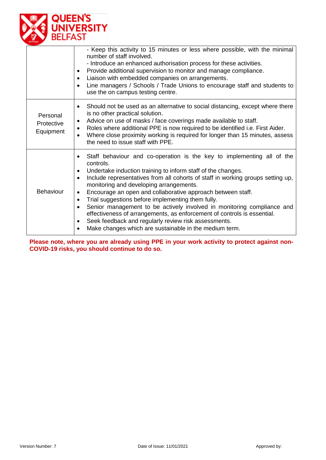

|                                     | - Keep this activity to 15 minutes or less where possible, with the minimal<br>number of staff involved.<br>- Introduce an enhanced authorisation process for these activities.<br>Provide additional supervision to monitor and manage compliance.<br>$\bullet$<br>Liaison with embedded companies on arrangements.<br>$\bullet$<br>Line managers / Schools / Trade Unions to encourage staff and students to<br>$\bullet$<br>use the on campus testing centre.                                                                                                                                                                                                                                                                                                                     |
|-------------------------------------|--------------------------------------------------------------------------------------------------------------------------------------------------------------------------------------------------------------------------------------------------------------------------------------------------------------------------------------------------------------------------------------------------------------------------------------------------------------------------------------------------------------------------------------------------------------------------------------------------------------------------------------------------------------------------------------------------------------------------------------------------------------------------------------|
| Personal<br>Protective<br>Equipment | Should not be used as an alternative to social distancing, except where there<br>$\bullet$<br>is no other practical solution.<br>Advice on use of masks / face coverings made available to staff.<br>$\bullet$<br>Roles where additional PPE is now required to be identified i.e. First Aider.<br>$\bullet$<br>Where close proximity working is required for longer than 15 minutes, assess<br>the need to issue staff with PPE.                                                                                                                                                                                                                                                                                                                                                    |
| <b>Behaviour</b>                    | Staff behaviour and co-operation is the key to implementing all of the<br>$\bullet$<br>controls.<br>Undertake induction training to inform staff of the changes.<br>$\bullet$<br>Include representatives from all cohorts of staff in working groups setting up,<br>$\bullet$<br>monitoring and developing arrangements.<br>Encourage an open and collaborative approach between staff.<br>$\bullet$<br>Trial suggestions before implementing them fully.<br>$\bullet$<br>Senior management to be actively involved in monitoring compliance and<br>$\bullet$<br>effectiveness of arrangements, as enforcement of controls is essential.<br>Seek feedback and regularly review risk assessments.<br>$\bullet$<br>Make changes which are sustainable in the medium term.<br>$\bullet$ |

**Please note, where you are already using PPE in your work activity to protect against non-COVID-19 risks, you should continue to do so.**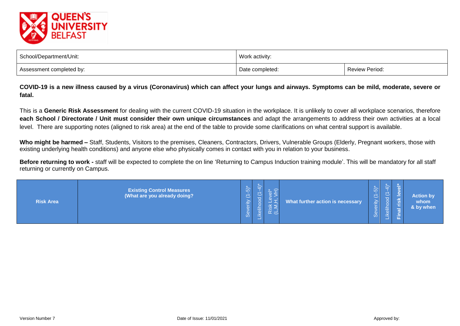

| School/Department/Unit:  | Work activity:  |                       |
|--------------------------|-----------------|-----------------------|
| Assessment completed by: | Date completed: | <b>Review Period:</b> |

**COVID-19 is a new illness caused by a virus (Coronavirus) which can affect your lungs and airways. Symptoms can be mild, moderate, severe or fatal.**

This is a **Generic Risk Assessment** for dealing with the current COVID-19 situation in the workplace. It is unlikely to cover all workplace scenarios, therefore **each School / Directorate / Unit must consider their own unique circumstances** and adapt the arrangements to address their own activities at a local level. There are supporting notes (aligned to risk area) at the end of the table to provide some clarifications on what central support is available.

Who might be harmed – Staff, Students, Visitors to the premises, Cleaners, Contractors, Drivers, Vulnerable Groups (Elderly, Pregnant workers, those with existing underlying health conditions) and anyone else who physically comes in contact with you in relation to your business.

**Before returning to work -** staff will be expected to complete the on line 'Returning to Campus Induction training module'. This will be mandatory for all staff returning or currently on Campus.

| <b>Risk Area</b> | <b>Existing Control Measures</b><br>(What are you already doing? | $\widehat{5}$<br>$\begin{array}{c} \nabla \cdot \mathbf{1} \cdot \mathbf{1} \cdot \mathbf{1} \cdot \mathbf{1} \cdot \mathbf{1} \cdot \mathbf{1} \cdot \mathbf{1} \cdot \mathbf{1} \cdot \mathbf{1} \cdot \mathbf{1} \cdot \mathbf{1} \cdot \mathbf{1} \cdot \mathbf{1} \cdot \mathbf{1} \cdot \mathbf{1} \cdot \mathbf{1} \cdot \mathbf{1} \cdot \mathbf{1} \cdot \mathbf{1} \cdot \mathbf{1} \cdot \mathbf{1} \cdot \mathbf{1} \cdot \mathbf{1} \cdot \mathbf{1} \cdot \mathbf{1} \cdot \mathbf{1} \$<br>erity<br>്ഗ | 章<br>l.<br>Tike | Risk<br>(L, M | What further action is necessary | $\sim$<br>$\overline{\phantom{0}}$<br>₽<br>$\overline{O}$ | $\sim$<br>$\overline{\phantom{0}}$<br><b>1999</b><br>ikelih<br>المستوفي | $\sim$ | <b>Action by</b><br>whom<br>& by when |
|------------------|------------------------------------------------------------------|-----------------------------------------------------------------------------------------------------------------------------------------------------------------------------------------------------------------------------------------------------------------------------------------------------------------------------------------------------------------------------------------------------------------------------------------------------------------------------------------------------------------------|-----------------|---------------|----------------------------------|-----------------------------------------------------------|-------------------------------------------------------------------------|--------|---------------------------------------|
|------------------|------------------------------------------------------------------|-----------------------------------------------------------------------------------------------------------------------------------------------------------------------------------------------------------------------------------------------------------------------------------------------------------------------------------------------------------------------------------------------------------------------------------------------------------------------------------------------------------------------|-----------------|---------------|----------------------------------|-----------------------------------------------------------|-------------------------------------------------------------------------|--------|---------------------------------------|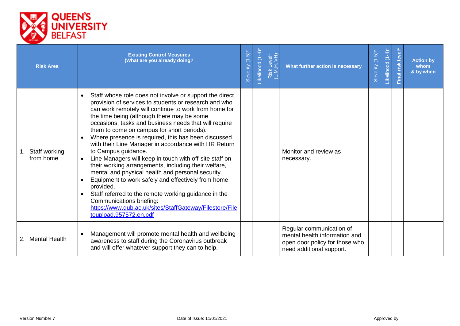

| <b>Risk Area</b>           | <b>Existing Control Measures</b><br>(What are you already doing?                                                                                                                                                                                                                                                                                                                                                                                                                                                                                                                                                                                                                                                                                                                                                                                                                                                                  | Severity (1-5)* | -ikelihood (1-4) | Risk Level*<br>(L,M,H, VH) | What further action is necessary                                                                                        | $(1-5)$<br>Severity | $(1-4)$<br>Likelihood | level*<br>Final risk | <b>Action by</b><br>whom<br>& by when |
|----------------------------|-----------------------------------------------------------------------------------------------------------------------------------------------------------------------------------------------------------------------------------------------------------------------------------------------------------------------------------------------------------------------------------------------------------------------------------------------------------------------------------------------------------------------------------------------------------------------------------------------------------------------------------------------------------------------------------------------------------------------------------------------------------------------------------------------------------------------------------------------------------------------------------------------------------------------------------|-----------------|------------------|----------------------------|-------------------------------------------------------------------------------------------------------------------------|---------------------|-----------------------|----------------------|---------------------------------------|
| Staff working<br>from home | Staff whose role does not involve or support the direct<br>$\bullet$<br>provision of services to students or research and who<br>can work remotely will continue to work from home for<br>the time being (although there may be some<br>occasions, tasks and business needs that will require<br>them to come on campus for short periods).<br>Where presence is required, this has been discussed<br>with their Line Manager in accordance with HR Return<br>to Campus guidance.<br>Line Managers will keep in touch with off-site staff on<br>$\bullet$<br>their working arrangements, including their welfare,<br>mental and physical health and personal security.<br>Equipment to work safely and effectively from home<br>provided.<br>Staff referred to the remote working guidance in the<br>$\bullet$<br>Communications briefing:<br>https://www.qub.ac.uk/sites/StaffGateway/Filestore/File<br>toupload, 957572, en.pdf |                 |                  |                            | Monitor and review as<br>necessary.                                                                                     |                     |                       |                      |                                       |
| 2. Mental Health           | Management will promote mental health and wellbeing<br>$\bullet$<br>awareness to staff during the Coronavirus outbreak<br>and will offer whatever support they can to help.                                                                                                                                                                                                                                                                                                                                                                                                                                                                                                                                                                                                                                                                                                                                                       |                 |                  |                            | Regular communication of<br>mental health information and<br>open door policy for those who<br>need additional support. |                     |                       |                      |                                       |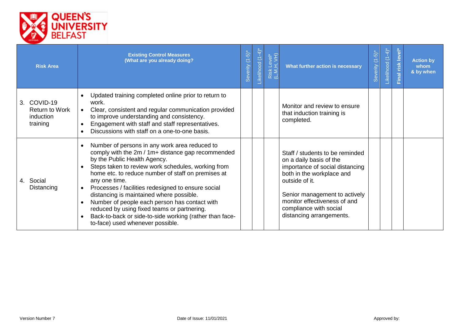

| <b>Risk Area</b>                                              | <b>Existing Control Measures</b><br>(What are you already doing?                                                                                                                                                                                                                                                                                                                                                                                                                                                                                                                                                     | Severity (1-5)* | -ikelihood (1-4)* | Risk Level*<br>(L,M,H, VH) | What further action is necessary                                                                                                                                                                                                                                    | $(-5)^*$<br>Severity | $\left( \frac{1}{2} \right)$<br>$\overline{C}$<br>Likelihood | Final risk level | <b>Action by</b><br>whom<br>& by when |
|---------------------------------------------------------------|----------------------------------------------------------------------------------------------------------------------------------------------------------------------------------------------------------------------------------------------------------------------------------------------------------------------------------------------------------------------------------------------------------------------------------------------------------------------------------------------------------------------------------------------------------------------------------------------------------------------|-----------------|-------------------|----------------------------|---------------------------------------------------------------------------------------------------------------------------------------------------------------------------------------------------------------------------------------------------------------------|----------------------|--------------------------------------------------------------|------------------|---------------------------------------|
| 3. COVID-19<br><b>Return to Work</b><br>induction<br>training | Updated training completed online prior to return to<br>work.<br>Clear, consistent and regular communication provided<br>$\bullet$<br>to improve understanding and consistency.<br>Engagement with staff and staff representatives.<br>$\bullet$<br>Discussions with staff on a one-to-one basis.                                                                                                                                                                                                                                                                                                                    |                 |                   |                            | Monitor and review to ensure<br>that induction training is<br>completed.                                                                                                                                                                                            |                      |                                                              |                  |                                       |
| 4. Social<br>Distancing                                       | Number of persons in any work area reduced to<br>$\bullet$<br>comply with the 2m / 1m+ distance gap recommended<br>by the Public Health Agency.<br>Steps taken to review work schedules, working from<br>$\bullet$<br>home etc. to reduce number of staff on premises at<br>any one time.<br>Processes / facilities redesigned to ensure social<br>distancing is maintained where possible.<br>Number of people each person has contact with<br>$\bullet$<br>reduced by using fixed teams or partnering.<br>Back-to-back or side-to-side working (rather than face-<br>$\bullet$<br>to-face) used whenever possible. |                 |                   |                            | Staff / students to be reminded<br>on a daily basis of the<br>importance of social distancing<br>both in the workplace and<br>outside of it.<br>Senior management to actively<br>monitor effectiveness of and<br>compliance with social<br>distancing arrangements. |                      |                                                              |                  |                                       |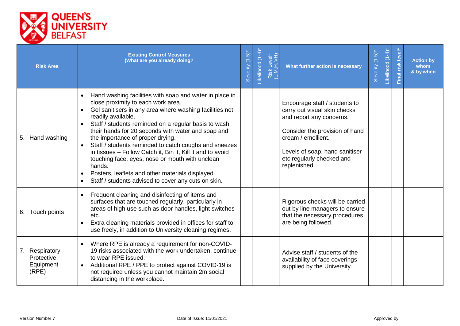

| <b>Risk Area</b>                                   | <b>Existing Control Measures</b><br>(What are you already doing?                                                                                                                                                                                                                                                                                                                                                                                                                                                                                                                                                                                                                    | Severity (1-5)* | Likelihood (1-4)* | Risk Level*<br>(L,M,H, VH) | What further action is necessary                                                                                                                                                                                                 | $(-5)^*$<br>Severity | Likelihood (1-4)* | risk level<br>Final | <b>Action by</b><br>whom<br>& by when |
|----------------------------------------------------|-------------------------------------------------------------------------------------------------------------------------------------------------------------------------------------------------------------------------------------------------------------------------------------------------------------------------------------------------------------------------------------------------------------------------------------------------------------------------------------------------------------------------------------------------------------------------------------------------------------------------------------------------------------------------------------|-----------------|-------------------|----------------------------|----------------------------------------------------------------------------------------------------------------------------------------------------------------------------------------------------------------------------------|----------------------|-------------------|---------------------|---------------------------------------|
| 5. Hand washing                                    | Hand washing facilities with soap and water in place in<br>$\bullet$<br>close proximity to each work area.<br>Gel sanitisers in any area where washing facilities not<br>$\bullet$<br>readily available.<br>Staff / students reminded on a regular basis to wash<br>their hands for 20 seconds with water and soap and<br>the importance of proper drying.<br>Staff / students reminded to catch coughs and sneezes<br>in tissues - Follow Catch it, Bin it, Kill it and to avoid<br>touching face, eyes, nose or mouth with unclean<br>hands.<br>Posters, leaflets and other materials displayed.<br>$\bullet$<br>Staff / students advised to cover any cuts on skin.<br>$\bullet$ |                 |                   |                            | Encourage staff / students to<br>carry out visual skin checks<br>and report any concerns.<br>Consider the provision of hand<br>cream / emollient.<br>Levels of soap, hand sanitiser<br>etc regularly checked and<br>replenished. |                      |                   |                     |                                       |
| 6. Touch points                                    | Frequent cleaning and disinfecting of items and<br>$\bullet$<br>surfaces that are touched regularly, particularly in<br>areas of high use such as door handles, light switches<br>etc.<br>Extra cleaning materials provided in offices for staff to<br>$\bullet$<br>use freely, in addition to University cleaning regimes.                                                                                                                                                                                                                                                                                                                                                         |                 |                   |                            | Rigorous checks will be carried<br>out by line managers to ensure<br>that the necessary procedures<br>are being followed.                                                                                                        |                      |                   |                     |                                       |
| 7. Respiratory<br>Protective<br>Equipment<br>(RPE) | Where RPE is already a requirement for non-COVID-<br>19 risks associated with the work undertaken, continue<br>to wear RPE issued.<br>Additional RPE / PPE to protect against COVID-19 is<br>$\bullet$<br>not required unless you cannot maintain 2m social<br>distancing in the workplace.                                                                                                                                                                                                                                                                                                                                                                                         |                 |                   |                            | Advise staff / students of the<br>availability of face coverings<br>supplied by the University.                                                                                                                                  |                      |                   |                     |                                       |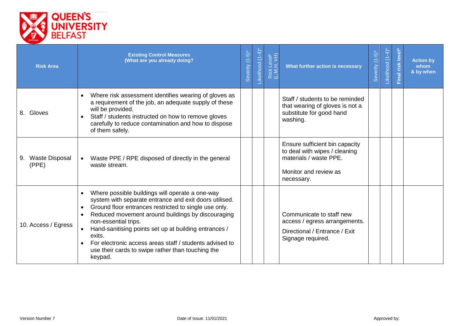

| <b>Risk Area</b>           | <b>Existing Control Measures</b><br>(What are you already doing?                                                                                                                                                                                                                                                                                                                                                                                                                     | Severity (1-5)* | Likelihood (1-4)* | Risk Level*<br>(L,M,H, VH) | What further action is necessary                                                                                                 | $(-5)^{*}$<br>Severity | $(1-4)$ <sup>*</sup><br>Likelihood | level <sup>®</sup><br>Final risk | <b>Action by</b><br>whom<br>& by when |
|----------------------------|--------------------------------------------------------------------------------------------------------------------------------------------------------------------------------------------------------------------------------------------------------------------------------------------------------------------------------------------------------------------------------------------------------------------------------------------------------------------------------------|-----------------|-------------------|----------------------------|----------------------------------------------------------------------------------------------------------------------------------|------------------------|------------------------------------|----------------------------------|---------------------------------------|
| 8. Gloves                  | Where risk assessment identifies wearing of gloves as<br>$\bullet$<br>a requirement of the job, an adequate supply of these<br>will be provided.<br>Staff / students instructed on how to remove gloves<br>carefully to reduce contamination and how to dispose<br>of them safely.                                                                                                                                                                                                   |                 |                   |                            | Staff / students to be reminded<br>that wearing of gloves is not a<br>substitute for good hand<br>washing.                       |                        |                                    |                                  |                                       |
| 9. Waste Disposal<br>(PPE) | Waste PPE / RPE disposed of directly in the general<br>$\bullet$<br>waste stream.                                                                                                                                                                                                                                                                                                                                                                                                    |                 |                   |                            | Ensure sufficient bin capacity<br>to deal with wipes / cleaning<br>materials / waste PPE.<br>Monitor and review as<br>necessary. |                        |                                    |                                  |                                       |
| 10. Access / Egress        | Where possible buildings will operate a one-way<br>$\bullet$<br>system with separate entrance and exit doors utilised.<br>Ground floor entrances restricted to single use only.<br>$\bullet$<br>Reduced movement around buildings by discouraging<br>$\bullet$<br>non-essential trips.<br>Hand-sanitising points set up at building entrances /<br>exits.<br>For electronic access areas staff / students advised to<br>use their cards to swipe rather than touching the<br>keypad. |                 |                   |                            | Communicate to staff new<br>access / egress arrangements.<br>Directional / Entrance / Exit<br>Signage required.                  |                        |                                    |                                  |                                       |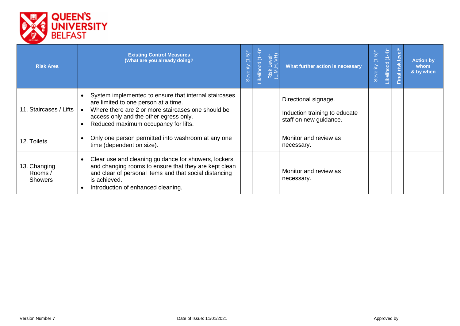

| <b>Risk Area</b>                         | <b>Existing Control Measures</b><br>(What are you already doing?                                                                                                                                                                                   | Severity (1-5)* | ikelihood (1-4) | Level*<br>H, $VH$ )<br>Risk<br>(L,M, | What further action is necessary                                                | $\widehat{\omega}$<br>C<br>everity<br>$\omega$ | $-4$<br>$\overline{C}$<br>Likelihood | $\overline{\bullet}$<br>Final risk lev | <b>Action by</b><br>whom<br>& by when |
|------------------------------------------|----------------------------------------------------------------------------------------------------------------------------------------------------------------------------------------------------------------------------------------------------|-----------------|-----------------|--------------------------------------|---------------------------------------------------------------------------------|------------------------------------------------|--------------------------------------|----------------------------------------|---------------------------------------|
| 11. Staircases / Lifts                   | System implemented to ensure that internal staircases<br>$\bullet$<br>are limited to one person at a time.<br>Where there are 2 or more staircases one should be<br>access only and the other egress only.<br>Reduced maximum occupancy for lifts. |                 |                 |                                      | Directional signage.<br>Induction training to educate<br>staff on new guidance. |                                                |                                      |                                        |                                       |
| 12. Toilets                              | Only one person permitted into washroom at any one<br>time (dependent on size).                                                                                                                                                                    |                 |                 |                                      | Monitor and review as<br>necessary.                                             |                                                |                                      |                                        |                                       |
| 13. Changing<br>Rooms/<br><b>Showers</b> | Clear use and cleaning guidance for showers, lockers<br>$\bullet$<br>and changing rooms to ensure that they are kept clean<br>and clear of personal items and that social distancing<br>is achieved.<br>Introduction of enhanced cleaning.         |                 |                 |                                      | Monitor and review as<br>necessary.                                             |                                                |                                      |                                        |                                       |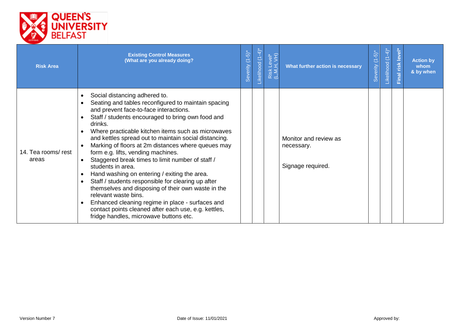

| <b>Risk Area</b>             | <b>Existing Control Measures</b><br>(What are you already doing?                                                                                                                                                                                                                                                                                                                                                                                                                                                                                                                                                                                                                                                                                                                                                                          | Severity (1-5)* | ikelihood (1-4) | Risk Level*<br>(L,M,H, VH) | What further action is necessary                         | $(1-5)$<br>everity<br>$\Omega$ | $-4$<br>$\overline{C}$<br>ikelihood | Final risk level | <b>Action by</b><br>whom<br>& by when |
|------------------------------|-------------------------------------------------------------------------------------------------------------------------------------------------------------------------------------------------------------------------------------------------------------------------------------------------------------------------------------------------------------------------------------------------------------------------------------------------------------------------------------------------------------------------------------------------------------------------------------------------------------------------------------------------------------------------------------------------------------------------------------------------------------------------------------------------------------------------------------------|-----------------|-----------------|----------------------------|----------------------------------------------------------|--------------------------------|-------------------------------------|------------------|---------------------------------------|
| 14. Tea rooms/ rest<br>areas | Social distancing adhered to.<br>$\bullet$<br>Seating and tables reconfigured to maintain spacing<br>and prevent face-to-face interactions.<br>Staff / students encouraged to bring own food and<br>drinks.<br>Where practicable kitchen items such as microwaves<br>and kettles spread out to maintain social distancing.<br>Marking of floors at 2m distances where queues may<br>form e.g. lifts, vending machines.<br>Staggered break times to limit number of staff /<br>students in area.<br>Hand washing on entering / exiting the area.<br>Staff / students responsible for clearing up after<br>themselves and disposing of their own waste in the<br>relevant waste bins.<br>Enhanced cleaning regime in place - surfaces and<br>contact points cleaned after each use, e.g. kettles,<br>fridge handles, microwave buttons etc. |                 |                 |                            | Monitor and review as<br>necessary.<br>Signage required. |                                |                                     |                  |                                       |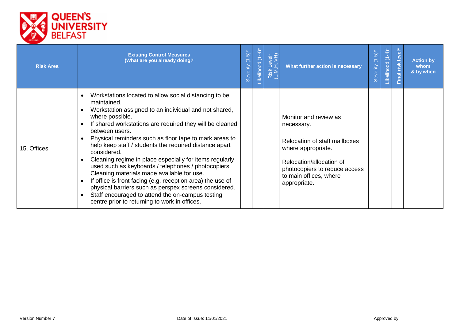

| <b>Risk Area</b> | <b>Existing Control Measures</b><br>(What are you already doing?                                                                                                                                                                                                                                                                                                                                                                                                                                                                                                                                                                                                                                                                                              | Severity (1-5)* | ikelihood (1-4) | Risk Level*<br>(L,M,H, VH) | What further action is necessary                                                                                                                                                                  | $\overline{\omega}$<br>$\overline{C}$<br>everity<br>$\Omega$ | $-4$<br>$\subset$<br>ikelihood | level <sup>-</sup><br>Final risk | <b>Action by</b><br>whom<br>& by when |
|------------------|---------------------------------------------------------------------------------------------------------------------------------------------------------------------------------------------------------------------------------------------------------------------------------------------------------------------------------------------------------------------------------------------------------------------------------------------------------------------------------------------------------------------------------------------------------------------------------------------------------------------------------------------------------------------------------------------------------------------------------------------------------------|-----------------|-----------------|----------------------------|---------------------------------------------------------------------------------------------------------------------------------------------------------------------------------------------------|--------------------------------------------------------------|--------------------------------|----------------------------------|---------------------------------------|
| 15. Offices      | Workstations located to allow social distancing to be<br>maintained.<br>Workstation assigned to an individual and not shared,<br>where possible.<br>If shared workstations are required they will be cleaned<br>between users.<br>Physical reminders such as floor tape to mark areas to<br>help keep staff / students the required distance apart<br>considered.<br>Cleaning regime in place especially for items regularly<br>used such as keyboards / telephones / photocopiers.<br>Cleaning materials made available for use.<br>If office is front facing (e.g. reception area) the use of<br>physical barriers such as perspex screens considered.<br>Staff encouraged to attend the on-campus testing<br>centre prior to returning to work in offices. |                 |                 |                            | Monitor and review as<br>necessary.<br>Relocation of staff mailboxes<br>where appropriate.<br>Relocation/allocation of<br>photocopiers to reduce access<br>to main offices, where<br>appropriate. |                                                              |                                |                                  |                                       |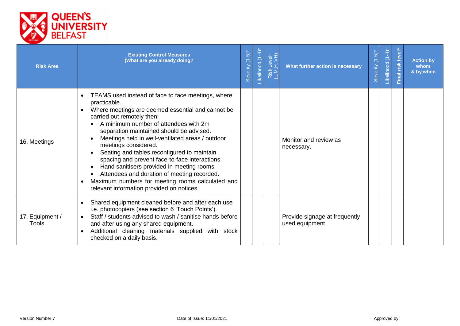

| <b>Risk Area</b>                | <b>Existing Control Measures</b><br>(What are you already doing?                                                                                                                                                                                                                                                                                                                                                                                                                                                                                                                                                      | Severity (1-5)* | -ikelihood (1-4) | Risk Level*<br>(L,M,H, VH) | What further action is necessary                 | Severity (1-5)* | Likelihood (1-4) | Final risk level* | <b>Action by</b><br>whom<br>& by when |
|---------------------------------|-----------------------------------------------------------------------------------------------------------------------------------------------------------------------------------------------------------------------------------------------------------------------------------------------------------------------------------------------------------------------------------------------------------------------------------------------------------------------------------------------------------------------------------------------------------------------------------------------------------------------|-----------------|------------------|----------------------------|--------------------------------------------------|-----------------|------------------|-------------------|---------------------------------------|
| 16. Meetings                    | TEAMS used instead of face to face meetings, where<br>practicable.<br>Where meetings are deemed essential and cannot be<br>carried out remotely then:<br>A minimum number of attendees with 2m<br>separation maintained should be advised.<br>Meetings held in well-ventilated areas / outdoor<br>meetings considered.<br>Seating and tables reconfigured to maintain<br>spacing and prevent face-to-face interactions.<br>Hand sanitisers provided in meeting rooms.<br>Attendees and duration of meeting recorded.<br>Maximum numbers for meeting rooms calculated and<br>relevant information provided on notices. |                 |                  |                            | Monitor and review as<br>necessary.              |                 |                  |                   |                                       |
| 17. Equipment /<br><b>Tools</b> | Shared equipment cleaned before and after each use<br>i.e. photocopiers (see section 6 'Touch Points').<br>Staff / students advised to wash / sanitise hands before<br>and after using any shared equipment.<br>Additional cleaning materials supplied with stock<br>checked on a daily basis.                                                                                                                                                                                                                                                                                                                        |                 |                  |                            | Provide signage at frequently<br>used equipment. |                 |                  |                   |                                       |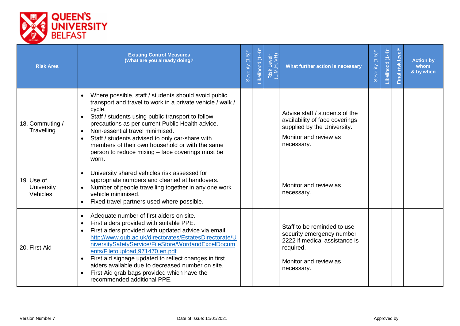

| <b>Risk Area</b>                     | <b>Existing Control Measures</b><br>(What are you already doing?                                                                                                                                                                                                                                                                                                                                                                                                                                                                                | Severity (1-5)* | -ikelihood (1-4) | Risk Level*<br>(L,M,H, VH) | What further action is necessary                                                                                                              | $(-5)$<br>Severity | Likelihood (1-4)* | Final risk level | <b>Action by</b><br>whom<br>& by when |
|--------------------------------------|-------------------------------------------------------------------------------------------------------------------------------------------------------------------------------------------------------------------------------------------------------------------------------------------------------------------------------------------------------------------------------------------------------------------------------------------------------------------------------------------------------------------------------------------------|-----------------|------------------|----------------------------|-----------------------------------------------------------------------------------------------------------------------------------------------|--------------------|-------------------|------------------|---------------------------------------|
| 18. Commuting /<br>Travelling        | Where possible, staff / students should avoid public<br>transport and travel to work in a private vehicle / walk /<br>cycle.<br>Staff / students using public transport to follow<br>$\bullet$<br>precautions as per current Public Health advice.<br>Non-essential travel minimised.<br>$\bullet$<br>Staff / students advised to only car-share with<br>members of their own household or with the same<br>person to reduce mixing – face coverings must be<br>worn.                                                                           |                 |                  |                            | Advise staff / students of the<br>availability of face coverings<br>supplied by the University.<br>Monitor and review as<br>necessary.        |                    |                   |                  |                                       |
| 19. Use of<br>University<br>Vehicles | University shared vehicles risk assessed for<br>$\bullet$<br>appropriate numbers and cleaned at handovers.<br>Number of people travelling together in any one work<br>vehicle minimised.<br>Fixed travel partners used where possible.<br>$\bullet$                                                                                                                                                                                                                                                                                             |                 |                  |                            | Monitor and review as<br>necessary.                                                                                                           |                    |                   |                  |                                       |
| 20. First Aid                        | Adequate number of first aiders on site.<br>$\bullet$<br>First aiders provided with suitable PPE.<br>$\bullet$<br>First aiders provided with updated advice via email.<br>$\bullet$<br>http://www.qub.ac.uk/directorates/EstatesDirectorate/U<br>niversitySafetyService/FileStore/WordandExcelDocum<br>ents/Filetoupload,971470,en.pdf<br>First aid signage updated to reflect changes in first<br>aiders available due to decreased number on site.<br>First Aid grab bags provided which have the<br>$\bullet$<br>recommended additional PPE. |                 |                  |                            | Staff to be reminded to use<br>security emergency number<br>2222 if medical assistance is<br>required.<br>Monitor and review as<br>necessary. |                    |                   |                  |                                       |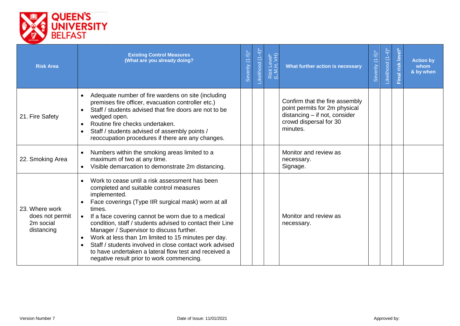

| <b>Risk Area</b>                                             | <b>Existing Control Measures</b><br>(What are you already doing?                                                                                                                                                                                                                                                                                                                                                                                                                                                                                                                                         | Severity (1-5)* | -ikelihood (1-4)* | Risk Level*<br>(L,M,H, VH) | What further action is necessary                                                                                                       | $(-5)^{*}$<br>Severity | $(1-4)$ *<br>Likelihood | level'<br>Final risk | <b>Action by</b><br>whom<br>& by when |
|--------------------------------------------------------------|----------------------------------------------------------------------------------------------------------------------------------------------------------------------------------------------------------------------------------------------------------------------------------------------------------------------------------------------------------------------------------------------------------------------------------------------------------------------------------------------------------------------------------------------------------------------------------------------------------|-----------------|-------------------|----------------------------|----------------------------------------------------------------------------------------------------------------------------------------|------------------------|-------------------------|----------------------|---------------------------------------|
| 21. Fire Safety                                              | Adequate number of fire wardens on site (including<br>$\bullet$<br>premises fire officer, evacuation controller etc.)<br>Staff / students advised that fire doors are not to be<br>wedged open.<br>Routine fire checks undertaken.<br>Staff / students advised of assembly points /<br>$\bullet$<br>reoccupation procedures if there are any changes.                                                                                                                                                                                                                                                    |                 |                   |                            | Confirm that the fire assembly<br>point permits for 2m physical<br>distancing - if not, consider<br>crowd dispersal for 30<br>minutes. |                        |                         |                      |                                       |
| 22. Smoking Area                                             | Numbers within the smoking areas limited to a<br>$\bullet$<br>maximum of two at any time.<br>Visible demarcation to demonstrate 2m distancing.<br>$\bullet$                                                                                                                                                                                                                                                                                                                                                                                                                                              |                 |                   |                            | Monitor and review as<br>necessary.<br>Signage.                                                                                        |                        |                         |                      |                                       |
| 23. Where work<br>does not permit<br>2m social<br>distancing | Work to cease until a risk assessment has been<br>$\bullet$<br>completed and suitable control measures<br>implemented.<br>Face coverings (Type IIR surgical mask) worn at all<br>times.<br>If a face covering cannot be worn due to a medical<br>$\bullet$<br>condition, staff / students advised to contact their Line<br>Manager / Supervisor to discuss further.<br>Work at less than 1m limited to 15 minutes per day.<br>$\bullet$<br>Staff / students involved in close contact work advised<br>to have undertaken a lateral flow test and received a<br>negative result prior to work commencing. |                 |                   |                            | Monitor and review as<br>necessary.                                                                                                    |                        |                         |                      |                                       |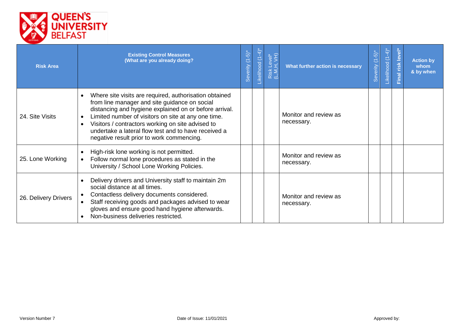

| <b>Risk Area</b>     | <b>Existing Control Measures</b><br>(What are you already doing?                                                                                                                                                                                                                                                                                                                                                          | Severity (1-5)* | -ikelihood (1-4) | Risk Level*<br>(L,M,H, VH) | What further action is necessary    | $\overline{5}$<br>三<br>everity<br>Ō | $-4$<br>$\overline{C}$<br>Likelihood | Final risk level | <b>Action by</b><br>whom<br>& by when |
|----------------------|---------------------------------------------------------------------------------------------------------------------------------------------------------------------------------------------------------------------------------------------------------------------------------------------------------------------------------------------------------------------------------------------------------------------------|-----------------|------------------|----------------------------|-------------------------------------|-------------------------------------|--------------------------------------|------------------|---------------------------------------|
| 24. Site Visits      | Where site visits are required, authorisation obtained<br>$\bullet$<br>from line manager and site guidance on social<br>distancing and hygiene explained on or before arrival.<br>Limited number of visitors on site at any one time.<br>$\bullet$<br>Visitors / contractors working on site advised to<br>$\bullet$<br>undertake a lateral flow test and to have received a<br>negative result prior to work commencing. |                 |                  |                            | Monitor and review as<br>necessary. |                                     |                                      |                  |                                       |
| 25. Lone Working     | High-risk lone working is not permitted.<br>$\bullet$<br>Follow normal lone procedures as stated in the<br>University / School Lone Working Policies.                                                                                                                                                                                                                                                                     |                 |                  |                            | Monitor and review as<br>necessary. |                                     |                                      |                  |                                       |
| 26. Delivery Drivers | Delivery drivers and University staff to maintain 2m<br>$\bullet$<br>social distance at all times.<br>Contactless delivery documents considered.<br>Staff receiving goods and packages advised to wear<br>gloves and ensure good hand hygiene afterwards.<br>Non-business deliveries restricted.<br>$\bullet$                                                                                                             |                 |                  |                            | Monitor and review as<br>necessary. |                                     |                                      |                  |                                       |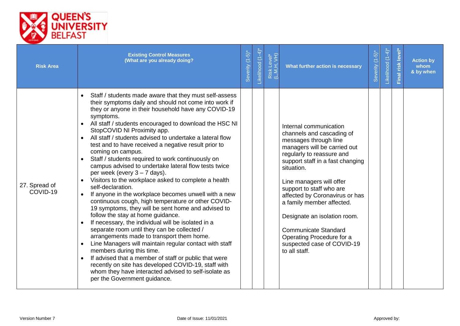

| <b>Risk Area</b>          | <b>Existing Control Measures</b><br>(What are you already doing?                                                                                                                                                                                                                                                                                                                                                                                                                                                                                                                                                                                                                                                                                                                                                                                                                                                                                                                                                                                                                                                                                                                                                                                                                                                                                   | Severity (1-5)* | Likelihood (1-4) | Risk Level*<br>(L,M,H, VH) | What further action is necessary                                                                                                                                                                                                                                                                                                                                                                                                                              | Severity (1-5)* | Likelihood (1-4) | Final risk level | <b>Action by</b><br>whom<br>& by when |
|---------------------------|----------------------------------------------------------------------------------------------------------------------------------------------------------------------------------------------------------------------------------------------------------------------------------------------------------------------------------------------------------------------------------------------------------------------------------------------------------------------------------------------------------------------------------------------------------------------------------------------------------------------------------------------------------------------------------------------------------------------------------------------------------------------------------------------------------------------------------------------------------------------------------------------------------------------------------------------------------------------------------------------------------------------------------------------------------------------------------------------------------------------------------------------------------------------------------------------------------------------------------------------------------------------------------------------------------------------------------------------------|-----------------|------------------|----------------------------|---------------------------------------------------------------------------------------------------------------------------------------------------------------------------------------------------------------------------------------------------------------------------------------------------------------------------------------------------------------------------------------------------------------------------------------------------------------|-----------------|------------------|------------------|---------------------------------------|
| 27. Spread of<br>COVID-19 | Staff / students made aware that they must self-assess<br>their symptoms daily and should not come into work if<br>they or anyone in their household have any COVID-19<br>symptoms.<br>All staff / students encouraged to download the HSC NI<br>$\bullet$<br>StopCOVID NI Proximity app.<br>All staff / students advised to undertake a lateral flow<br>$\bullet$<br>test and to have received a negative result prior to<br>coming on campus.<br>Staff / students required to work continuously on<br>campus advised to undertake lateral flow tests twice<br>per week (every $3 - 7$ days).<br>Visitors to the workplace asked to complete a health<br>self-declaration.<br>If anyone in the workplace becomes unwell with a new<br>$\bullet$<br>continuous cough, high temperature or other COVID-<br>19 symptoms, they will be sent home and advised to<br>follow the stay at home guidance.<br>If necessary, the individual will be isolated in a<br>separate room until they can be collected /<br>arrangements made to transport them home.<br>Line Managers will maintain regular contact with staff<br>members during this time.<br>If advised that a member of staff or public that were<br>recently on site has developed COVID-19, staff with<br>whom they have interacted advised to self-isolate as<br>per the Government guidance. |                 |                  |                            | Internal communication<br>channels and cascading of<br>messages through line<br>managers will be carried out<br>regularly to reassure and<br>support staff in a fast changing<br>situation.<br>Line managers will offer<br>support to staff who are<br>affected by Coronavirus or has<br>a family member affected.<br>Designate an isolation room.<br><b>Communicate Standard</b><br>Operating Procedure for a<br>suspected case of COVID-19<br>to all staff. |                 |                  |                  |                                       |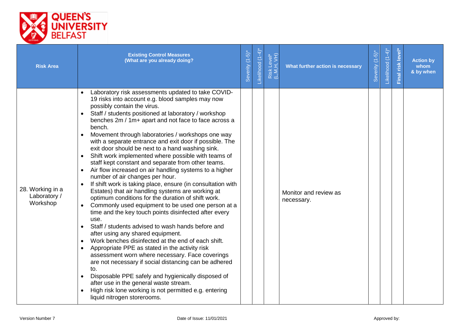

| <b>Risk Area</b>                             | <b>Existing Control Measures</b><br>(What are you already doing?                                                                                                                                                                                                                                                                                                                                                                                                                                                                                                                                                                                                                                                                                                                                                                                                                                                                                                                                                                                                                                                                                                                                                                                                                                                                                                                                                                                                                                                                                                                 | Severity (1-5)* | -ikelihood (1-4)* | Risk Level*<br>(L,M,H, VH) | What further action is necessary    | Severity (1-5)* | Likelihood (1-4) | Final risk level | <b>Action by</b><br>whom<br>& by when |
|----------------------------------------------|----------------------------------------------------------------------------------------------------------------------------------------------------------------------------------------------------------------------------------------------------------------------------------------------------------------------------------------------------------------------------------------------------------------------------------------------------------------------------------------------------------------------------------------------------------------------------------------------------------------------------------------------------------------------------------------------------------------------------------------------------------------------------------------------------------------------------------------------------------------------------------------------------------------------------------------------------------------------------------------------------------------------------------------------------------------------------------------------------------------------------------------------------------------------------------------------------------------------------------------------------------------------------------------------------------------------------------------------------------------------------------------------------------------------------------------------------------------------------------------------------------------------------------------------------------------------------------|-----------------|-------------------|----------------------------|-------------------------------------|-----------------|------------------|------------------|---------------------------------------|
| 28. Working in a<br>Laboratory /<br>Workshop | Laboratory risk assessments updated to take COVID-<br>$\bullet$<br>19 risks into account e.g. blood samples may now<br>possibly contain the virus.<br>Staff / students positioned at laboratory / workshop<br>benches 2m / 1m+ apart and not face to face across a<br>bench.<br>Movement through laboratories / workshops one way<br>$\bullet$<br>with a separate entrance and exit door if possible. The<br>exit door should be next to a hand washing sink.<br>Shift work implemented where possible with teams of<br>$\bullet$<br>staff kept constant and separate from other teams.<br>Air flow increased on air handling systems to a higher<br>number of air changes per hour.<br>If shift work is taking place, ensure (in consultation with<br>$\bullet$<br>Estates) that air handling systems are working at<br>optimum conditions for the duration of shift work.<br>Commonly used equipment to be used one person at a<br>$\bullet$<br>time and the key touch points disinfected after every<br>use.<br>Staff / students advised to wash hands before and<br>$\bullet$<br>after using any shared equipment.<br>Work benches disinfected at the end of each shift.<br>$\bullet$<br>Appropriate PPE as stated in the activity risk<br>$\bullet$<br>assessment worn where necessary. Face coverings<br>are not necessary if social distancing can be adhered<br>to.<br>Disposable PPE safely and hygienically disposed of<br>after use in the general waste stream.<br>High risk lone working is not permitted e.g. entering<br>$\bullet$<br>liquid nitrogen storerooms. |                 |                   |                            | Monitor and review as<br>necessary. |                 |                  |                  |                                       |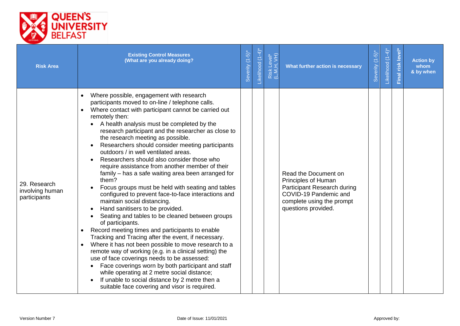

| <b>Risk Area</b>                                | <b>Existing Control Measures</b><br>(What are you already doing?                                                                                                                                                                                                                                                                                                                                                                                                                                                                                                                                                                                                                                                                                                                                                                                                                                                                                                                                                                                                                                                                                                                                                                                                                                                    | Severity (1-5)* | Likelihood (1-4)* | Risk Level*<br>(L,M,H, VH) | What further action is necessary                                                                                                                        | Severity (1-5)* | Likelihood (1-4) | Final risk level | <b>Action by</b><br>whom<br>& by when |
|-------------------------------------------------|---------------------------------------------------------------------------------------------------------------------------------------------------------------------------------------------------------------------------------------------------------------------------------------------------------------------------------------------------------------------------------------------------------------------------------------------------------------------------------------------------------------------------------------------------------------------------------------------------------------------------------------------------------------------------------------------------------------------------------------------------------------------------------------------------------------------------------------------------------------------------------------------------------------------------------------------------------------------------------------------------------------------------------------------------------------------------------------------------------------------------------------------------------------------------------------------------------------------------------------------------------------------------------------------------------------------|-----------------|-------------------|----------------------------|---------------------------------------------------------------------------------------------------------------------------------------------------------|-----------------|------------------|------------------|---------------------------------------|
| 29. Research<br>involving human<br>participants | Where possible, engagement with research<br>participants moved to on-line / telephone calls.<br>Where contact with participant cannot be carried out<br>remotely then:<br>A health analysis must be completed by the<br>research participant and the researcher as close to<br>the research meeting as possible.<br>Researchers should consider meeting participants<br>outdoors / in well ventilated areas.<br>Researchers should also consider those who<br>require assistance from another member of their<br>family – has a safe waiting area been arranged for<br>them?<br>Focus groups must be held with seating and tables<br>configured to prevent face-to-face interactions and<br>maintain social distancing.<br>Hand sanitisers to be provided.<br>Seating and tables to be cleaned between groups<br>of participants.<br>Record meeting times and participants to enable<br>Tracking and Tracing after the event, if necessary.<br>Where it has not been possible to move research to a<br>remote way of working (e.g. in a clinical setting) the<br>use of face coverings needs to be assessed:<br>Face coverings worn by both participant and staff<br>while operating at 2 metre social distance;<br>If unable to social distance by 2 metre then a<br>suitable face covering and visor is required. |                 |                   |                            | Read the Document on<br>Principles of Human<br>Participant Research during<br>COVID-19 Pandemic and<br>complete using the prompt<br>questions provided. |                 |                  |                  |                                       |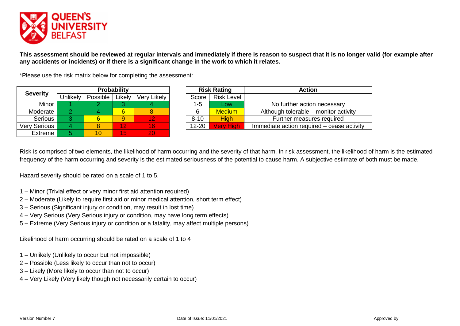

**This assessment should be reviewed at regular intervals and immediately if there is reason to suspect that it is no longer valid (for example after any accidents or incidents) or if there is a significant change in the work to which it relates.**

\*Please use the risk matrix below for completing the assessment:

| <b>Severity</b> |          |          | <b>Probability</b> |             |           | <b>Risk Rating</b> | <b>Action</b>            |
|-----------------|----------|----------|--------------------|-------------|-----------|--------------------|--------------------------|
|                 | Unlikely | Possible | Likely             | Very Likely | Score     | <b>Risk Level</b>  |                          |
| Minor           |          |          |                    |             | $1 - 5$   | Low                | No further action        |
| Moderate        |          |          |                    |             |           | <b>Medium</b>      | Although tolerable - r   |
| Serious         |          | б        |                    | 12          | $8 - 10$  | <b>High</b>        | <b>Further measure</b>   |
| Very Serious    |          |          | 12                 | 16          | $12 - 20$ | <b>Very High</b>   | Immediate action require |
| Extreme         |          | 10       | 15                 | 20          |           |                    |                          |

|          |          |        |             |           |                   | <b>Action</b>                              |
|----------|----------|--------|-------------|-----------|-------------------|--------------------------------------------|
| Unlikely | Possible | Likely | Very Likely | Score     | <b>Risk Level</b> |                                            |
|          |          |        |             | $1-5$     | Low               | No further action necessary                |
|          |          | 6      |             | 6         | <b>Medium</b>     | Although tolerable – monitor activity      |
|          |          |        | 12          | $8 - 10$  | <b>High</b>       | Further measures required                  |
|          |          | 12     | 16'         | $12 - 20$ | Verv High         | Immediate action required – cease activity |
|          |          |        | Probability |           |                   | <b>Risk Rating</b>                         |

Risk is comprised of two elements, the likelihood of harm occurring and the severity of that harm. In risk assessment, the likelihood of harm is the estimated frequency of the harm occurring and severity is the estimated seriousness of the potential to cause harm. A subjective estimate of both must be made.

Hazard severity should be rated on a scale of 1 to 5.

- 1 Minor (Trivial effect or very minor first aid attention required)
- 2 Moderate (Likely to require first aid or minor medical attention, short term effect)
- 3 Serious (Significant injury or condition, may result in lost time)
- 4 Very Serious (Very Serious injury or condition, may have long term effects)
- 5 Extreme (Very Serious injury or condition or a fatality, may affect multiple persons)

Likelihood of harm occurring should be rated on a scale of 1 to 4

- 1 Unlikely (Unlikely to occur but not impossible)
- 2 Possible (Less likely to occur than not to occur)
- 3 Likely (More likely to occur than not to occur)
- 4 Very Likely (Very likely though not necessarily certain to occur)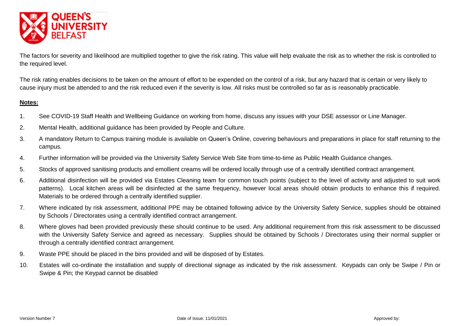

The factors for severity and likelihood are multiplied together to give the risk rating. This value will help evaluate the risk as to whether the risk is controlled to the required level.

The risk rating enables decisions to be taken on the amount of effort to be expended on the control of a risk, but any hazard that is certain or very likely to cause injury must be attended to and the risk reduced even if the severity is low. All risks must be controlled so far as is reasonably practicable.

#### **Notes:**

- 1. See COVID-19 Staff Health and Wellbeing Guidance on working from home, discuss any issues with your DSE assessor or Line Manager.
- 2. Mental Health, additional guidance has been provided by People and Culture.
- 3. A mandatory Return to Campus training module is available on Queen's Online, covering behaviours and preparations in place for staff returning to the campus.
- 4. Further information will be provided via the University Safety Service Web Site from time-to-time as Public Health Guidance changes.
- 5. Stocks of approved sanitising products and emollient creams will be ordered locally through use of a centrally identified contract arrangement.
- 6. Additional disinfection will be provided via Estates Cleaning team for common touch points (subject to the level of activity and adjusted to suit work patterns). Local kitchen areas will be disinfected at the same frequency, however local areas should obtain products to enhance this if required. Materials to be ordered through a centrally identified supplier.
- 7. Where indicated by risk assessment, additional PPE may be obtained following advice by the University Safety Service, supplies should be obtained by Schools / Directorates using a centrally identified contract arrangement.
- 8. Where gloves had been provided previously these should continue to be used. Any additional requirement from this risk assessment to be discussed with the University Safety Service and agreed as necessary. Supplies should be obtained by Schools / Directorates using their normal supplier or through a centrally identified contract arrangement.
- 9. Waste PPE should be placed in the bins provided and will be disposed of by Estates.
- 10. Estates will co-ordinate the installation and supply of directional signage as indicated by the risk assessment. Keypads can only be Swipe / Pin or Swipe & Pin; the Keypad cannot be disabled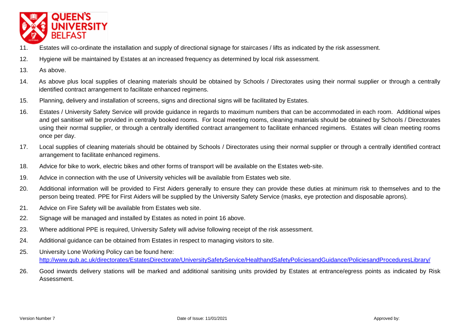

- 11. Estates will co-ordinate the installation and supply of directional signage for staircases / lifts as indicated by the risk assessment.
- 12. Hygiene will be maintained by Estates at an increased frequency as determined by local risk assessment.
- 13. As above.
- 14. As above plus local supplies of cleaning materials should be obtained by Schools / Directorates using their normal supplier or through a centrally identified contract arrangement to facilitate enhanced regimens.
- 15. Planning, delivery and installation of screens, signs and directional signs will be facilitated by Estates.
- 16. Estates / University Safety Service will provide guidance in regards to maximum numbers that can be accommodated in each room. Additional wipes and gel sanitiser will be provided in centrally booked rooms. For local meeting rooms, cleaning materials should be obtained by Schools / Directorates using their normal supplier, or through a centrally identified contract arrangement to facilitate enhanced regimens. Estates will clean meeting rooms once per day.
- 17. Local supplies of cleaning materials should be obtained by Schools / Directorates using their normal supplier or through a centrally identified contract arrangement to facilitate enhanced regimens.
- 18. Advice for bike to work, electric bikes and other forms of transport will be available on the Estates web-site.
- 19. Advice in connection with the use of University vehicles will be available from Estates web site.
- 20. Additional information will be provided to First Aiders generally to ensure they can provide these duties at minimum risk to themselves and to the person being treated. PPE for First Aiders will be supplied by the University Safety Service (masks, eye protection and disposable aprons).
- 21. Advice on Fire Safety will be available from Estates web site.
- 22. Signage will be managed and installed by Estates as noted in point 16 above.
- 23. Where additional PPE is required, University Safety will advise following receipt of the risk assessment.
- 24. Additional guidance can be obtained from Estates in respect to managing visitors to site.
- 25. University Lone Working Policy can be found here: <http://www.qub.ac.uk/directorates/EstatesDirectorate/UniversitySafetyService/HealthandSafetyPoliciesandGuidance/PoliciesandProceduresLibrary/>
- 26. Good inwards delivery stations will be marked and additional sanitising units provided by Estates at entrance/egress points as indicated by Risk **Assessment**